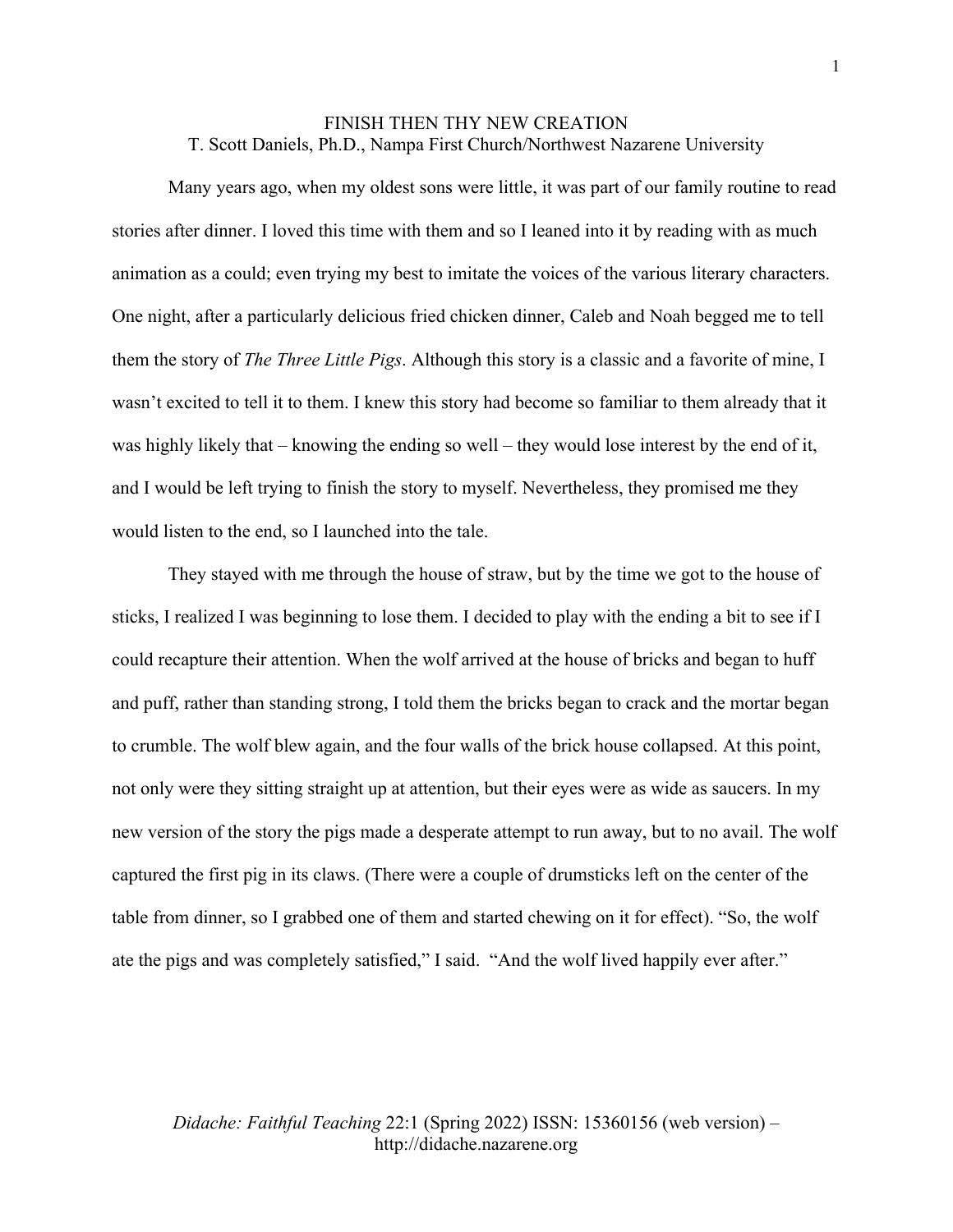## FINISH THEN THY NEW CREATION T. Scott Daniels, Ph.D., Nampa First Church/Northwest Nazarene University

Many years ago, when my oldest sons were little, it was part of our family routine to read stories after dinner. I loved this time with them and so I leaned into it by reading with as much animation as a could; even trying my best to imitate the voices of the various literary characters. One night, after a particularly delicious fried chicken dinner, Caleb and Noah begged me to tell them the story of *The Three Little Pigs*. Although this story is a classic and a favorite of mine, I wasn't excited to tell it to them. I knew this story had become so familiar to them already that it was highly likely that – knowing the ending so well – they would lose interest by the end of it, and I would be left trying to finish the story to myself. Nevertheless, they promised me they would listen to the end, so I launched into the tale.

They stayed with me through the house of straw, but by the time we got to the house of sticks, I realized I was beginning to lose them. I decided to play with the ending a bit to see if I could recapture their attention. When the wolf arrived at the house of bricks and began to huff and puff, rather than standing strong, I told them the bricks began to crack and the mortar began to crumble. The wolf blew again, and the four walls of the brick house collapsed. At this point, not only were they sitting straight up at attention, but their eyes were as wide as saucers. In my new version of the story the pigs made a desperate attempt to run away, but to no avail. The wolf captured the first pig in its claws. (There were a couple of drumsticks left on the center of the table from dinner, so I grabbed one of them and started chewing on it for effect). "So, the wolf ate the pigs and was completely satisfied," I said. "And the wolf lived happily ever after."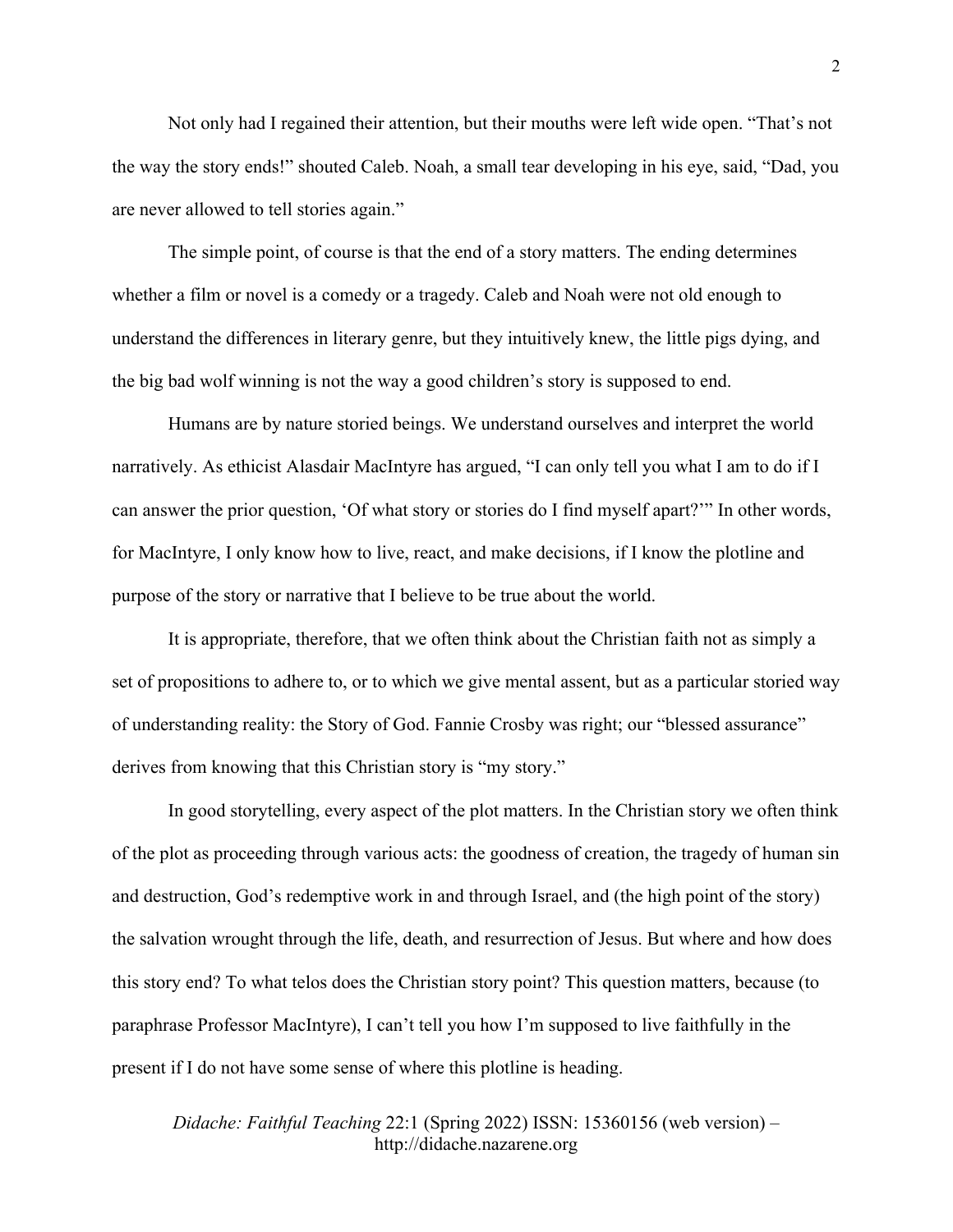Not only had I regained their attention, but their mouths were left wide open. "That's not the way the story ends!" shouted Caleb. Noah, a small tear developing in his eye, said, "Dad, you are never allowed to tell stories again."

The simple point, of course is that the end of a story matters. The ending determines whether a film or novel is a comedy or a tragedy. Caleb and Noah were not old enough to understand the differences in literary genre, but they intuitively knew, the little pigs dying, and the big bad wolf winning is not the way a good children's story is supposed to end.

Humans are by nature storied beings. We understand ourselves and interpret the world narratively. As ethicist Alasdair MacIntyre has argued, "I can only tell you what I am to do if I can answer the prior question, 'Of what story or stories do I find myself apart?'" In other words, for MacIntyre, I only know how to live, react, and make decisions, if I know the plotline and purpose of the story or narrative that I believe to be true about the world.

It is appropriate, therefore, that we often think about the Christian faith not as simply a set of propositions to adhere to, or to which we give mental assent, but as a particular storied way of understanding reality: the Story of God. Fannie Crosby was right; our "blessed assurance" derives from knowing that this Christian story is "my story."

In good storytelling, every aspect of the plot matters. In the Christian story we often think of the plot as proceeding through various acts: the goodness of creation, the tragedy of human sin and destruction, God's redemptive work in and through Israel, and (the high point of the story) the salvation wrought through the life, death, and resurrection of Jesus. But where and how does this story end? To what telos does the Christian story point? This question matters, because (to paraphrase Professor MacIntyre), I can't tell you how I'm supposed to live faithfully in the present if I do not have some sense of where this plotline is heading.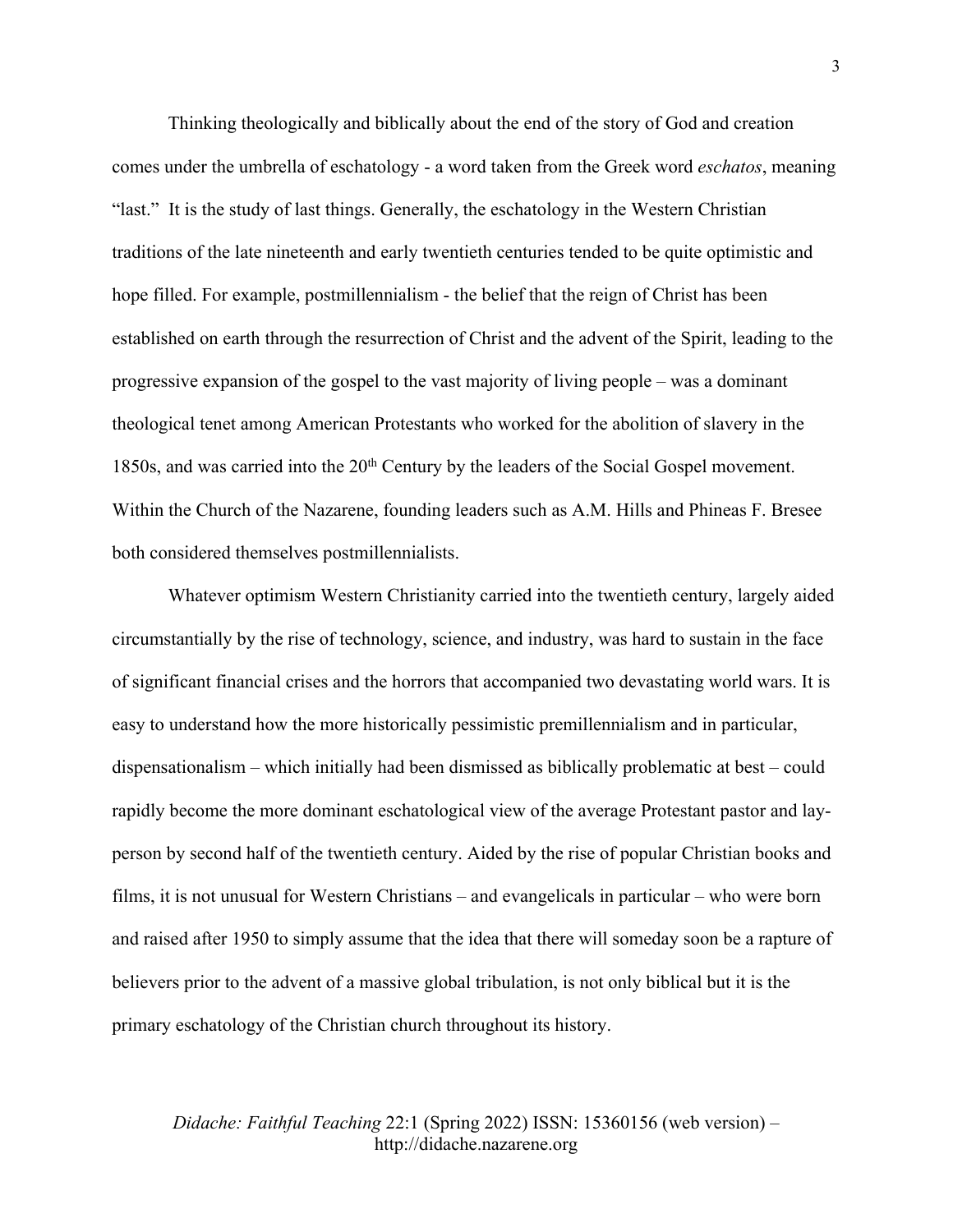Thinking theologically and biblically about the end of the story of God and creation comes under the umbrella of eschatology - a word taken from the Greek word *eschatos*, meaning "last." It is the study of last things. Generally, the eschatology in the Western Christian traditions of the late nineteenth and early twentieth centuries tended to be quite optimistic and hope filled. For example, postmillennialism - the belief that the reign of Christ has been established on earth through the resurrection of Christ and the advent of the Spirit, leading to the progressive expansion of the gospel to the vast majority of living people – was a dominant theological tenet among American Protestants who worked for the abolition of slavery in the 1850s, and was carried into the 20<sup>th</sup> Century by the leaders of the Social Gospel movement. Within the Church of the Nazarene, founding leaders such as A.M. Hills and Phineas F. Bresee both considered themselves postmillennialists.

Whatever optimism Western Christianity carried into the twentieth century, largely aided circumstantially by the rise of technology, science, and industry, was hard to sustain in the face of significant financial crises and the horrors that accompanied two devastating world wars. It is easy to understand how the more historically pessimistic premillennialism and in particular, dispensationalism – which initially had been dismissed as biblically problematic at best – could rapidly become the more dominant eschatological view of the average Protestant pastor and layperson by second half of the twentieth century. Aided by the rise of popular Christian books and films, it is not unusual for Western Christians – and evangelicals in particular – who were born and raised after 1950 to simply assume that the idea that there will someday soon be a rapture of believers prior to the advent of a massive global tribulation, is not only biblical but it is the primary eschatology of the Christian church throughout its history.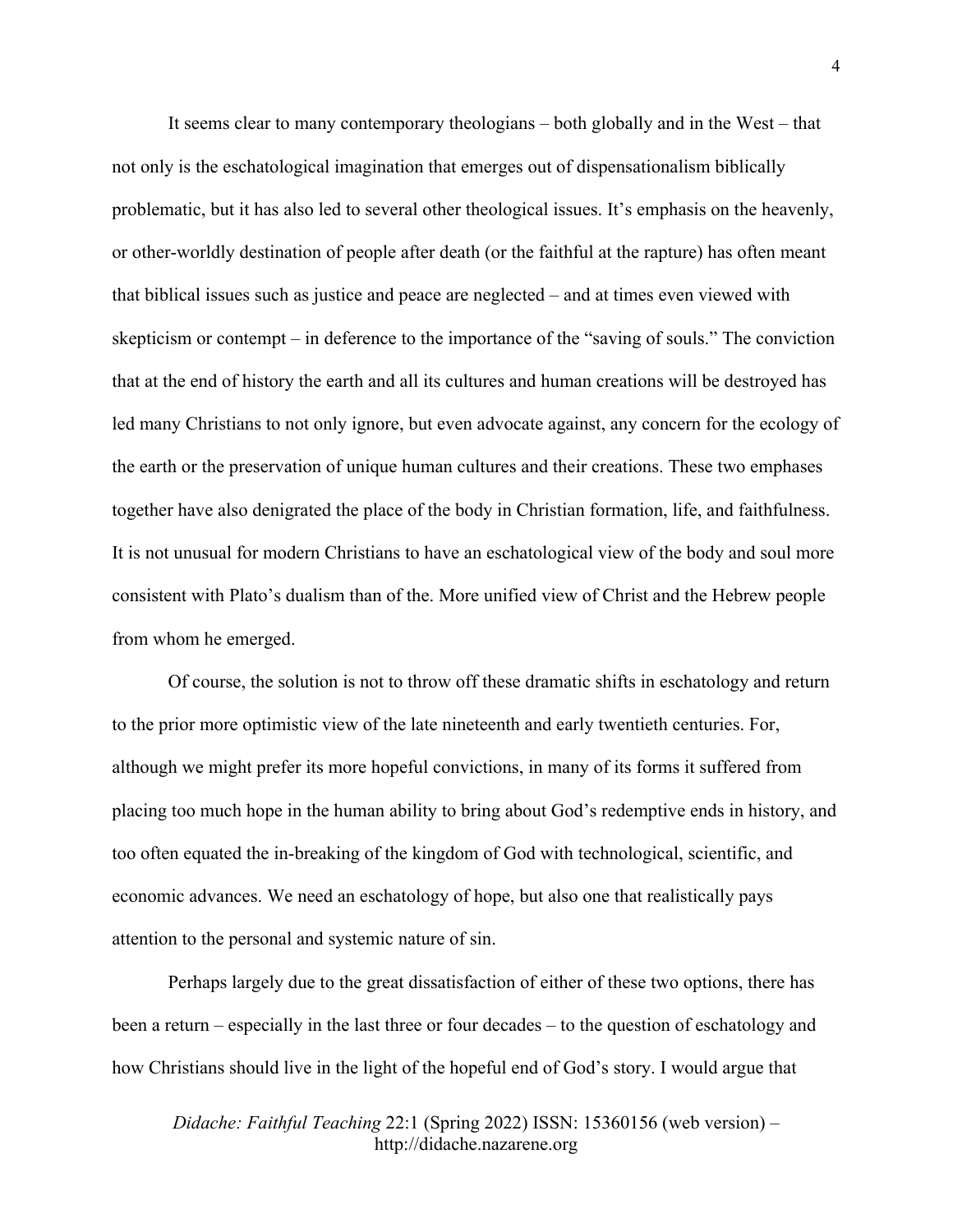It seems clear to many contemporary theologians – both globally and in the West – that not only is the eschatological imagination that emerges out of dispensationalism biblically problematic, but it has also led to several other theological issues. It's emphasis on the heavenly, or other-worldly destination of people after death (or the faithful at the rapture) has often meant that biblical issues such as justice and peace are neglected – and at times even viewed with skepticism or contempt – in deference to the importance of the "saving of souls." The conviction that at the end of history the earth and all its cultures and human creations will be destroyed has led many Christians to not only ignore, but even advocate against, any concern for the ecology of the earth or the preservation of unique human cultures and their creations. These two emphases together have also denigrated the place of the body in Christian formation, life, and faithfulness. It is not unusual for modern Christians to have an eschatological view of the body and soul more consistent with Plato's dualism than of the. More unified view of Christ and the Hebrew people from whom he emerged.

Of course, the solution is not to throw off these dramatic shifts in eschatology and return to the prior more optimistic view of the late nineteenth and early twentieth centuries. For, although we might prefer its more hopeful convictions, in many of its forms it suffered from placing too much hope in the human ability to bring about God's redemptive ends in history, and too often equated the in-breaking of the kingdom of God with technological, scientific, and economic advances. We need an eschatology of hope, but also one that realistically pays attention to the personal and systemic nature of sin.

Perhaps largely due to the great dissatisfaction of either of these two options, there has been a return – especially in the last three or four decades – to the question of eschatology and how Christians should live in the light of the hopeful end of God's story. I would argue that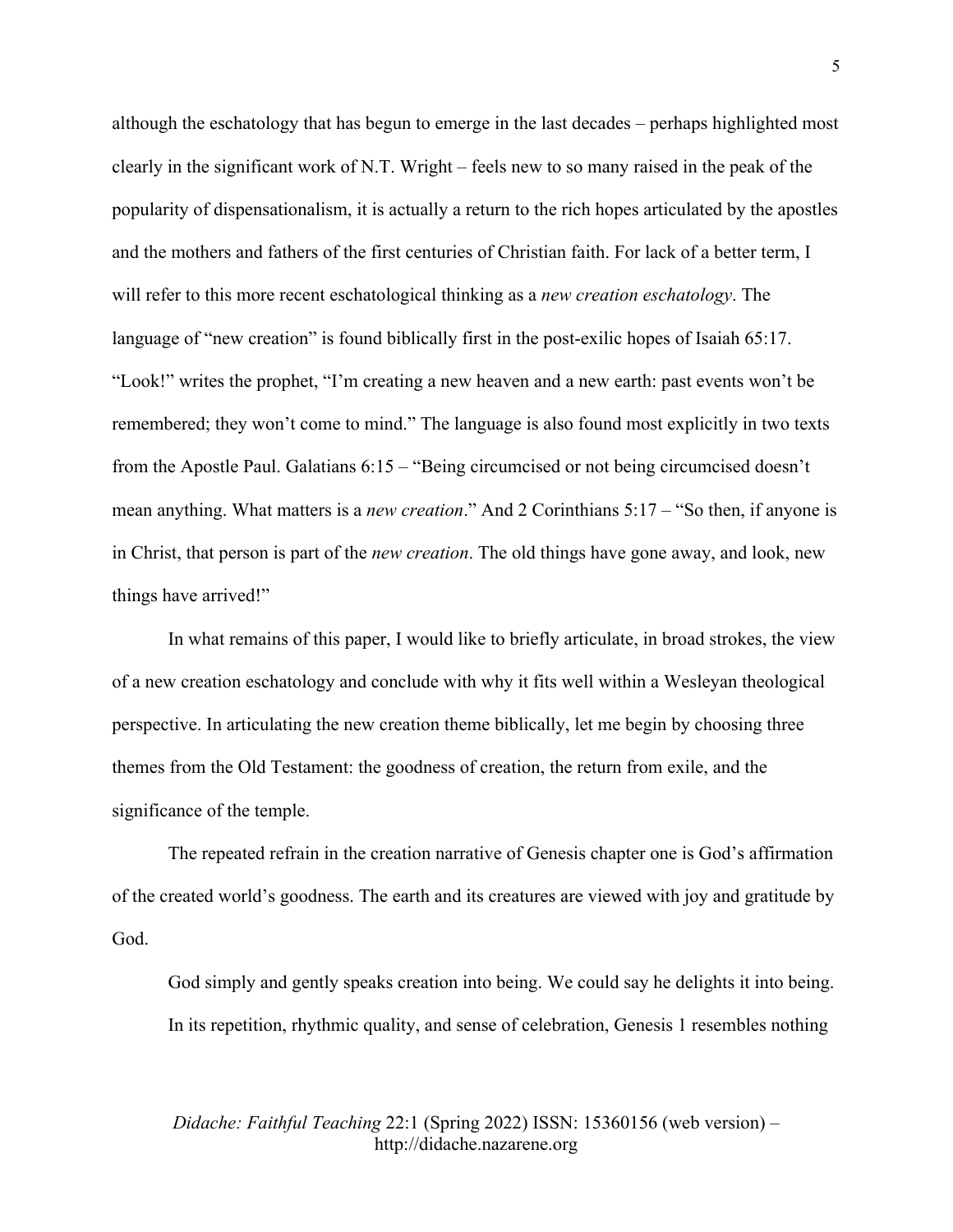although the eschatology that has begun to emerge in the last decades – perhaps highlighted most clearly in the significant work of N.T. Wright – feels new to so many raised in the peak of the popularity of dispensationalism, it is actually a return to the rich hopes articulated by the apostles and the mothers and fathers of the first centuries of Christian faith. For lack of a better term, I will refer to this more recent eschatological thinking as a *new creation eschatology*. The language of "new creation" is found biblically first in the post-exilic hopes of Isaiah 65:17. "Look!" writes the prophet, "I'm creating a new heaven and a new earth: past events won't be remembered; they won't come to mind." The language is also found most explicitly in two texts from the Apostle Paul. Galatians 6:15 – "Being circumcised or not being circumcised doesn't mean anything. What matters is a *new creation*." And 2 Corinthians 5:17 – "So then, if anyone is in Christ, that person is part of the *new creation*. The old things have gone away, and look, new things have arrived!"

In what remains of this paper, I would like to briefly articulate, in broad strokes, the view of a new creation eschatology and conclude with why it fits well within a Wesleyan theological perspective. In articulating the new creation theme biblically, let me begin by choosing three themes from the Old Testament: the goodness of creation, the return from exile, and the significance of the temple.

The repeated refrain in the creation narrative of Genesis chapter one is God's affirmation of the created world's goodness. The earth and its creatures are viewed with joy and gratitude by God.

God simply and gently speaks creation into being. We could say he delights it into being. In its repetition, rhythmic quality, and sense of celebration, Genesis 1 resembles nothing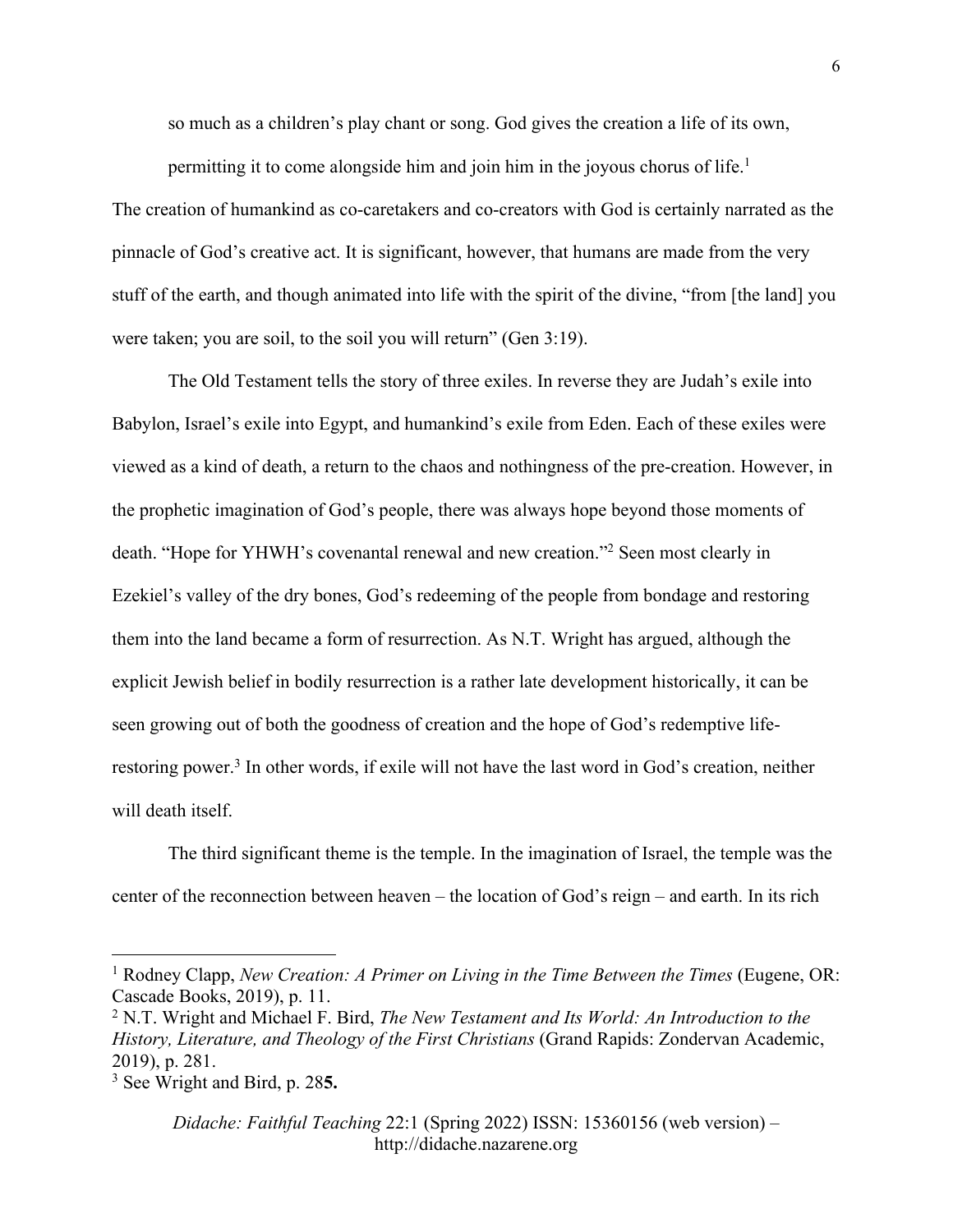so much as a children's play chant or song. God gives the creation a life of its own,

permitting it to come alongside him and join him in the joyous chorus of life.<sup>1</sup> The creation of humankind as co-caretakers and co-creators with God is certainly narrated as the pinnacle of God's creative act. It is significant, however, that humans are made from the very stuff of the earth, and though animated into life with the spirit of the divine, "from [the land] you were taken; you are soil, to the soil you will return" (Gen 3:19).

The Old Testament tells the story of three exiles. In reverse they are Judah's exile into Babylon, Israel's exile into Egypt, and humankind's exile from Eden. Each of these exiles were viewed as a kind of death, a return to the chaos and nothingness of the pre-creation. However, in the prophetic imagination of God's people, there was always hope beyond those moments of death. "Hope for YHWH's covenantal renewal and new creation."2 Seen most clearly in Ezekiel's valley of the dry bones, God's redeeming of the people from bondage and restoring them into the land became a form of resurrection. As N.T. Wright has argued, although the explicit Jewish belief in bodily resurrection is a rather late development historically, it can be seen growing out of both the goodness of creation and the hope of God's redemptive liferestoring power.3 In other words, if exile will not have the last word in God's creation, neither will death itself.

The third significant theme is the temple. In the imagination of Israel, the temple was the center of the reconnection between heaven – the location of God's reign – and earth. In its rich

<sup>1</sup> Rodney Clapp, *New Creation: A Primer on Living in the Time Between the Times* (Eugene, OR: Cascade Books, 2019), p. 11.

<sup>2</sup> N.T. Wright and Michael F. Bird, *The New Testament and Its World: An Introduction to the History, Literature, and Theology of the First Christians* (Grand Rapids: Zondervan Academic, 2019), p. 281.

<sup>3</sup> See Wright and Bird, p. 28**5.**

*Didache: Faithful Teaching* 22:1 (Spring 2022) ISSN: 15360156 (web version) – http://didache.nazarene.org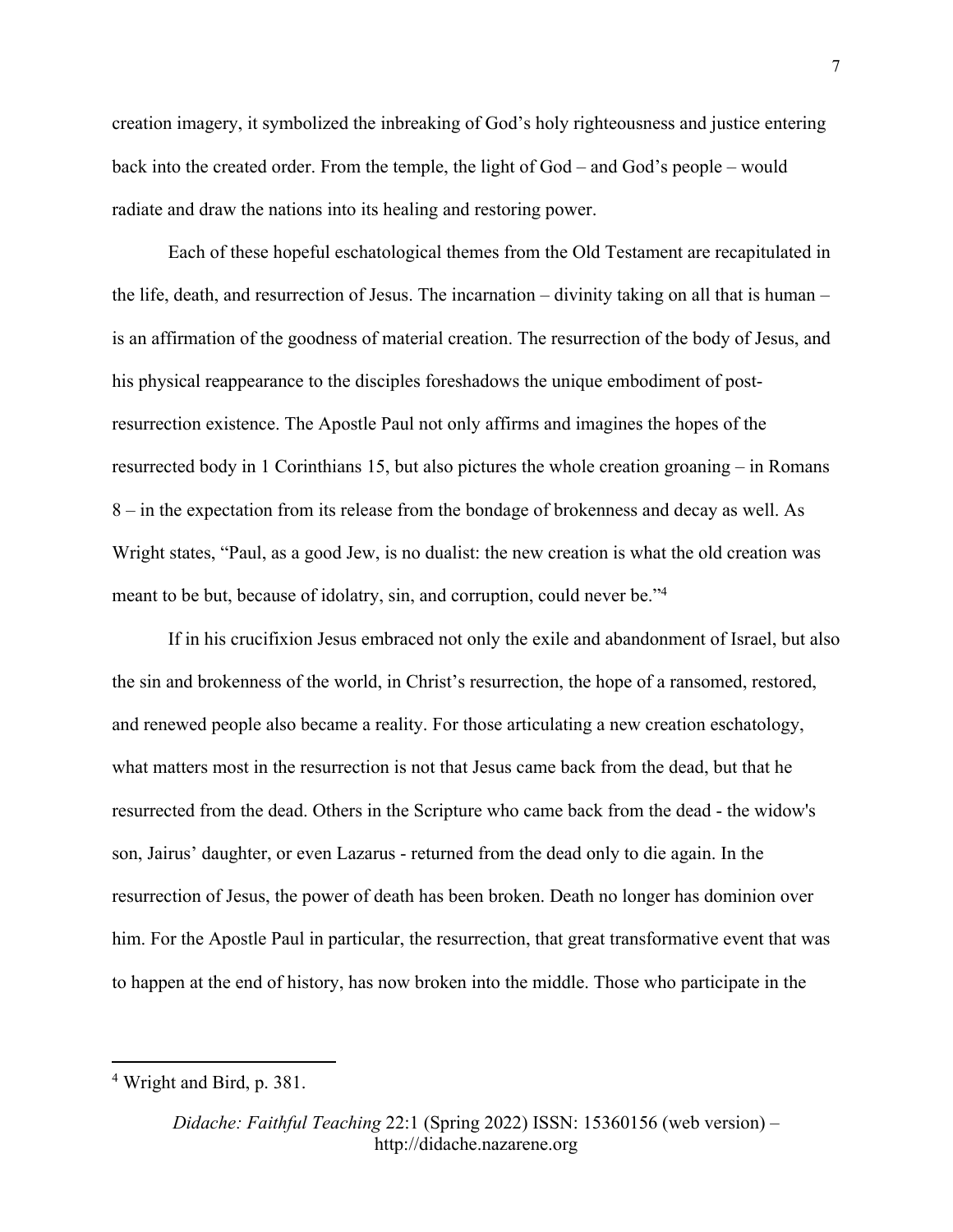creation imagery, it symbolized the inbreaking of God's holy righteousness and justice entering back into the created order. From the temple, the light of God – and God's people – would radiate and draw the nations into its healing and restoring power.

Each of these hopeful eschatological themes from the Old Testament are recapitulated in the life, death, and resurrection of Jesus. The incarnation – divinity taking on all that is human – is an affirmation of the goodness of material creation. The resurrection of the body of Jesus, and his physical reappearance to the disciples foreshadows the unique embodiment of postresurrection existence. The Apostle Paul not only affirms and imagines the hopes of the resurrected body in 1 Corinthians 15, but also pictures the whole creation groaning – in Romans 8 – in the expectation from its release from the bondage of brokenness and decay as well. As Wright states, "Paul, as a good Jew, is no dualist: the new creation is what the old creation was meant to be but, because of idolatry, sin, and corruption, could never be."4

If in his crucifixion Jesus embraced not only the exile and abandonment of Israel, but also the sin and brokenness of the world, in Christ's resurrection, the hope of a ransomed, restored, and renewed people also became a reality. For those articulating a new creation eschatology, what matters most in the resurrection is not that Jesus came back from the dead, but that he resurrected from the dead. Others in the Scripture who came back from the dead - the widow's son, Jairus' daughter, or even Lazarus - returned from the dead only to die again. In the resurrection of Jesus, the power of death has been broken. Death no longer has dominion over him. For the Apostle Paul in particular, the resurrection, that great transformative event that was to happen at the end of history, has now broken into the middle. Those who participate in the

<sup>4</sup> Wright and Bird, p. 381.

*Didache: Faithful Teaching* 22:1 (Spring 2022) ISSN: 15360156 (web version) – http://didache.nazarene.org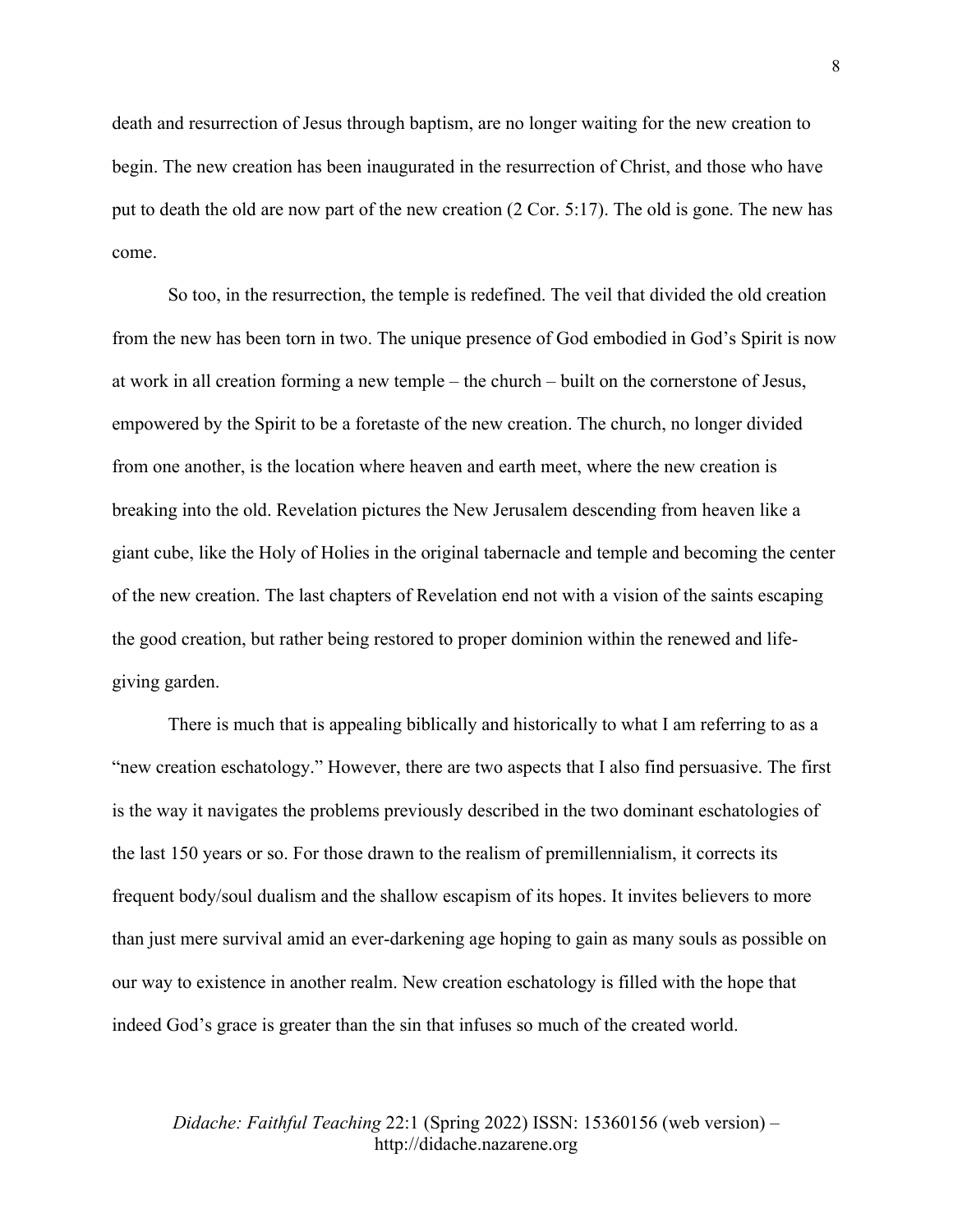death and resurrection of Jesus through baptism, are no longer waiting for the new creation to begin. The new creation has been inaugurated in the resurrection of Christ, and those who have put to death the old are now part of the new creation (2 Cor. 5:17). The old is gone. The new has come.

So too, in the resurrection, the temple is redefined. The veil that divided the old creation from the new has been torn in two. The unique presence of God embodied in God's Spirit is now at work in all creation forming a new temple – the church – built on the cornerstone of Jesus, empowered by the Spirit to be a foretaste of the new creation. The church, no longer divided from one another, is the location where heaven and earth meet, where the new creation is breaking into the old. Revelation pictures the New Jerusalem descending from heaven like a giant cube, like the Holy of Holies in the original tabernacle and temple and becoming the center of the new creation. The last chapters of Revelation end not with a vision of the saints escaping the good creation, but rather being restored to proper dominion within the renewed and lifegiving garden.

There is much that is appealing biblically and historically to what I am referring to as a "new creation eschatology." However, there are two aspects that I also find persuasive. The first is the way it navigates the problems previously described in the two dominant eschatologies of the last 150 years or so. For those drawn to the realism of premillennialism, it corrects its frequent body/soul dualism and the shallow escapism of its hopes. It invites believers to more than just mere survival amid an ever-darkening age hoping to gain as many souls as possible on our way to existence in another realm. New creation eschatology is filled with the hope that indeed God's grace is greater than the sin that infuses so much of the created world.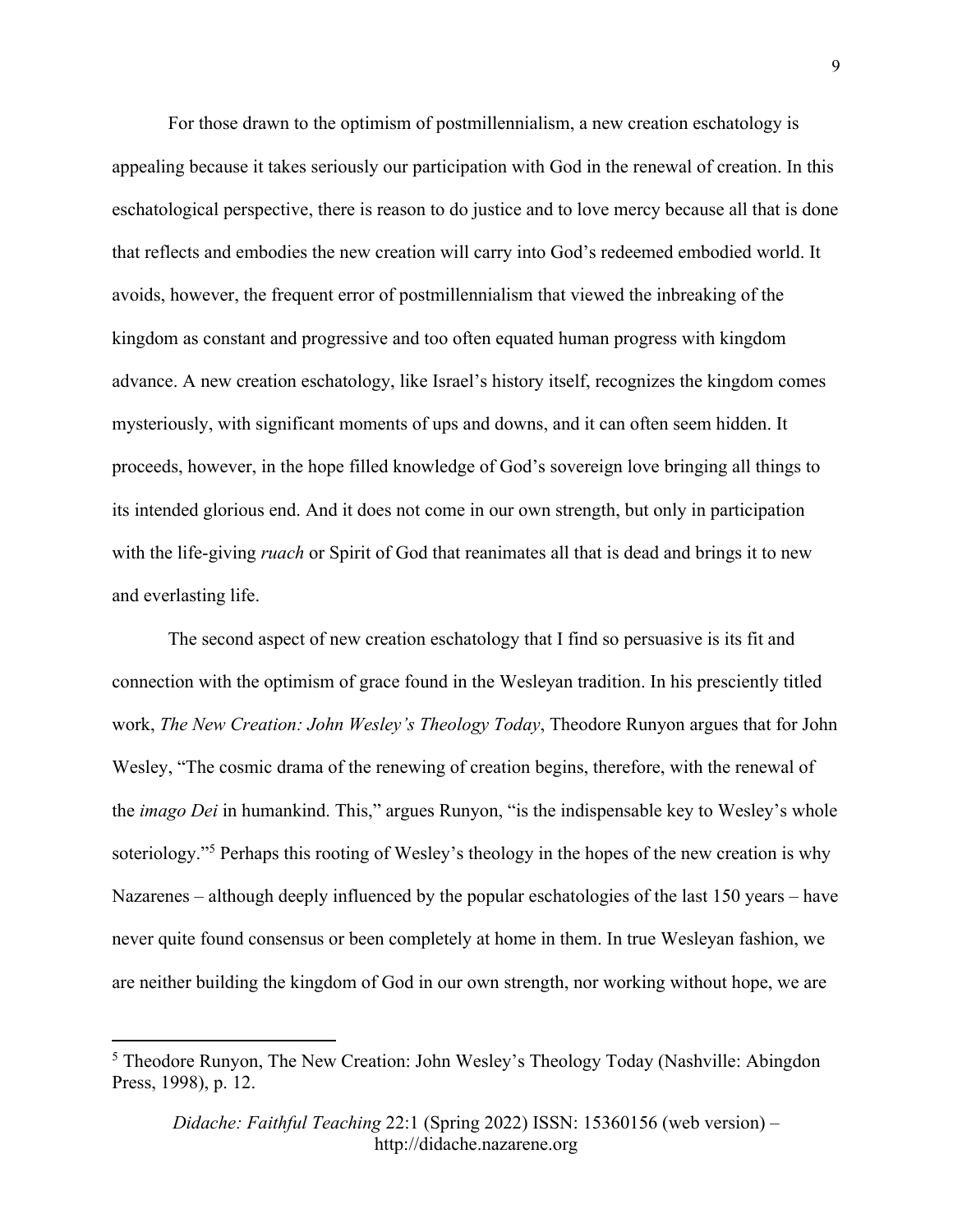For those drawn to the optimism of postmillennialism, a new creation eschatology is appealing because it takes seriously our participation with God in the renewal of creation. In this eschatological perspective, there is reason to do justice and to love mercy because all that is done that reflects and embodies the new creation will carry into God's redeemed embodied world. It avoids, however, the frequent error of postmillennialism that viewed the inbreaking of the kingdom as constant and progressive and too often equated human progress with kingdom advance. A new creation eschatology, like Israel's history itself, recognizes the kingdom comes mysteriously, with significant moments of ups and downs, and it can often seem hidden. It proceeds, however, in the hope filled knowledge of God's sovereign love bringing all things to its intended glorious end. And it does not come in our own strength, but only in participation with the life-giving *ruach* or Spirit of God that reanimates all that is dead and brings it to new and everlasting life.

The second aspect of new creation eschatology that I find so persuasive is its fit and connection with the optimism of grace found in the Wesleyan tradition. In his presciently titled work, *The New Creation: John Wesley's Theology Today*, Theodore Runyon argues that for John Wesley, "The cosmic drama of the renewing of creation begins, therefore, with the renewal of the *imago Dei* in humankind. This," argues Runyon, "is the indispensable key to Wesley's whole soteriology."5 Perhaps this rooting of Wesley's theology in the hopes of the new creation is why Nazarenes – although deeply influenced by the popular eschatologies of the last 150 years – have never quite found consensus or been completely at home in them. In true Wesleyan fashion, we are neither building the kingdom of God in our own strength, nor working without hope, we are

<sup>5</sup> Theodore Runyon, The New Creation: John Wesley's Theology Today (Nashville: Abingdon Press, 1998), p. 12.